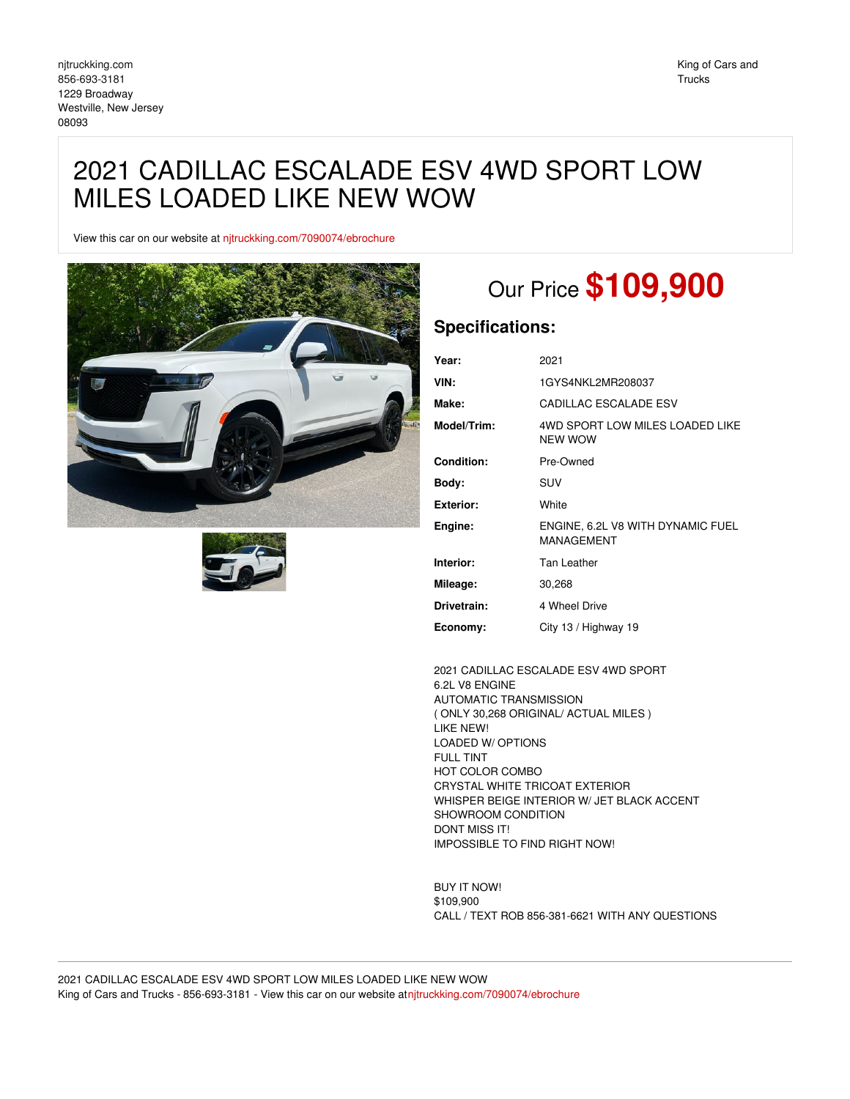## 2021 CADILLAC ESCALADE ESV 4WD SPORT LOW MILES LOADED LIKE NEW WOW

View this car on our website at [njtruckking.com/7090074/ebrochure](https://njtruckking.com/vehicle/7090074/2021-cadillac-escalade-esv-4wd-sport-low-miles-loaded-like-new-wow-westville-new-jersey-08093/7090074/ebrochure)





# Our Price **\$109,900**

### **Specifications:**

| Year:             | 2021                                            |
|-------------------|-------------------------------------------------|
| VIN:              | 1GYS4NKL2MR208037                               |
| Make:             | CADILLAC ESCALADE ESV                           |
| Model/Trim:       | 4WD SPORT LOW MILES LOADED LIKE<br>NFW WOW      |
| <b>Condition:</b> | Pre-Owned                                       |
| Body:             | SUV                                             |
|                   |                                                 |
| Exterior:         | White                                           |
| Engine:           | ENGINE, 6.2L V8 WITH DYNAMIC FUEL<br>MANAGEMENT |
| Interior:         | Tan Leather                                     |
| Mileage:          | 30,268                                          |
| Drivetrain:       | 4 Wheel Drive                                   |

2021 CADILLAC ESCALADE ESV 4WD SPORT 6.2L V8 ENGINE AUTOMATIC TRANSMISSION ( ONLY 30,268 ORIGINAL/ ACTUAL MILES ) LIKE NEW! LOADED W/ OPTIONS FULL TINT HOT COLOR COMBO CRYSTAL WHITE TRICOAT EXTERIOR WHISPER BEIGE INTERIOR W/ JET BLACK ACCENT SHOWROOM CONDITION DONT MISS IT! IMPOSSIBLE TO FIND RIGHT NOW!

BUY IT NOW! \$109,900 CALL / TEXT ROB 856-381-6621 WITH ANY QUESTIONS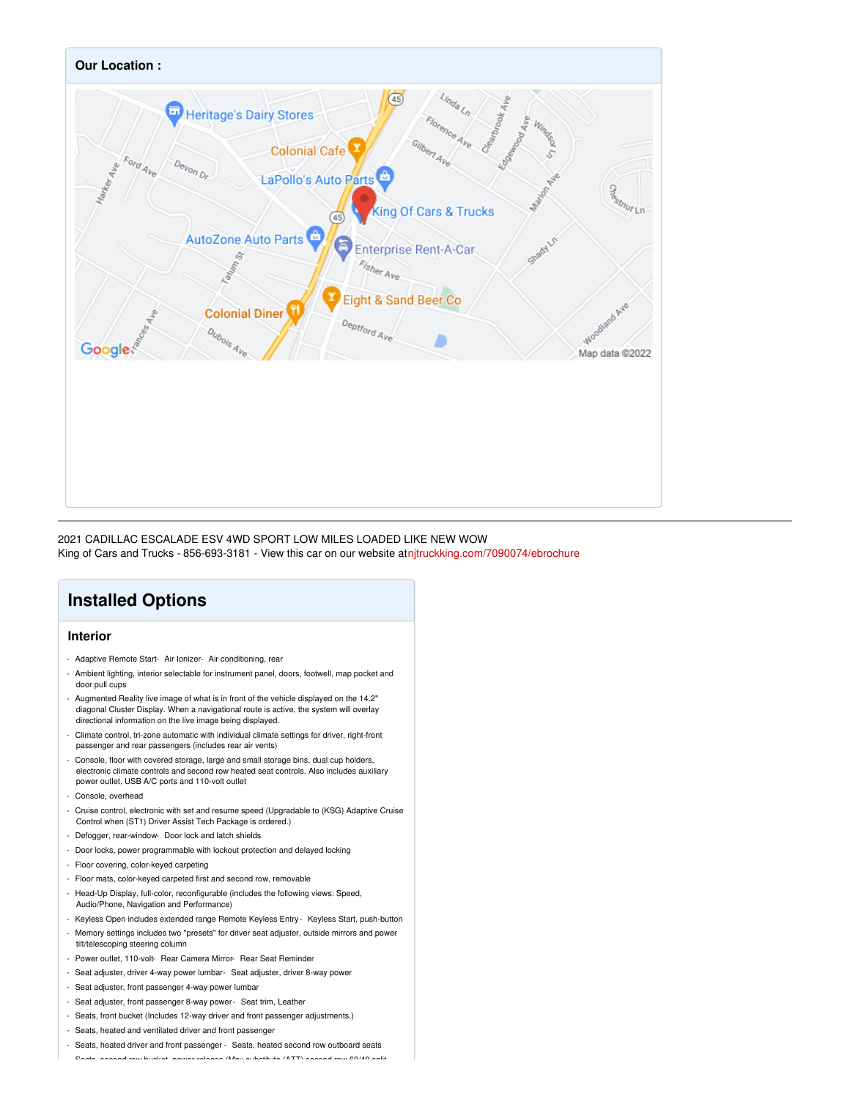

#### 2021 CADILLAC ESCALADE ESV 4WD SPORT LOW MILES LOADED LIKE NEW WOW King of Cars and Trucks - 856-693-3181 - View this car on our website at[njtruckking.com/7090074/ebrochure](https://njtruckking.com/vehicle/7090074/2021-cadillac-escalade-esv-4wd-sport-low-miles-loaded-like-new-wow-westville-new-jersey-08093/7090074/ebrochure)

## **Installed Options**

#### **Interior**

- Adaptive Remote Start- Air Ionizer- Air conditioning, rear
- Ambient lighting, interior selectable for instrument panel, doors, footwell, map pocket and door pull cups
- Augmented Reality live image of what is in front of the vehicle displayed on the 14.2" diagonal Cluster Display. When a navigational route is active, the system will overlay directional information on the live image being displayed.
- Climate control, tri-zone automatic with individual climate settings for driver, right-front passenger and rear passengers (includes rear air vents)
- Console, floor with covered storage, large and small storage bins, dual cup holders, electronic climate controls and second row heated seat controls. Also includes auxiliary power outlet, USB A/C ports and 110-volt outlet
- Console, overhead
- Cruise control, electronic with set and resume speed (Upgradable to (KSG) Adaptive Cruise Control when (ST1) Driver Assist Tech Package is ordered.)
- Defogger, rear-window- Door lock and latch shields
- Door locks, power programmable with lockout protection and delayed locking
- Floor covering, color-keyed carpeting
- Floor mats, color-keyed carpeted first and second row, removable
- Head-Up Display, full-color, reconfigurable (includes the following views: Speed, Audio/Phone, Navigation and Performance)
- Keyless Open includes extended range Remote Keyless Entry Keyless Start, push-button
- Memory settings includes two "presets" for driver seat adjuster, outside mirrors and power
- tilt/telescoping steering column - Power outlet, 110-volt- Rear Camera Mirror- Rear Seat Reminder
- Seat adjuster, driver 4-way power lumbar- Seat adjuster, driver 8-way power
- Seat adjuster, front passenger 4-way power lumbar
- Seat adjuster, front passenger 8-way power- Seat trim, Leather
- Seats, front bucket (Includes 12-way driver and front passenger adjustments.)
- Seats, heated and ventilated driver and front passenger
- Seats, heated driver and front passenger Seats, heated second row outboard seats

- Seats, second row bucket, power release (May substitute (ATT) second row 60/40 split-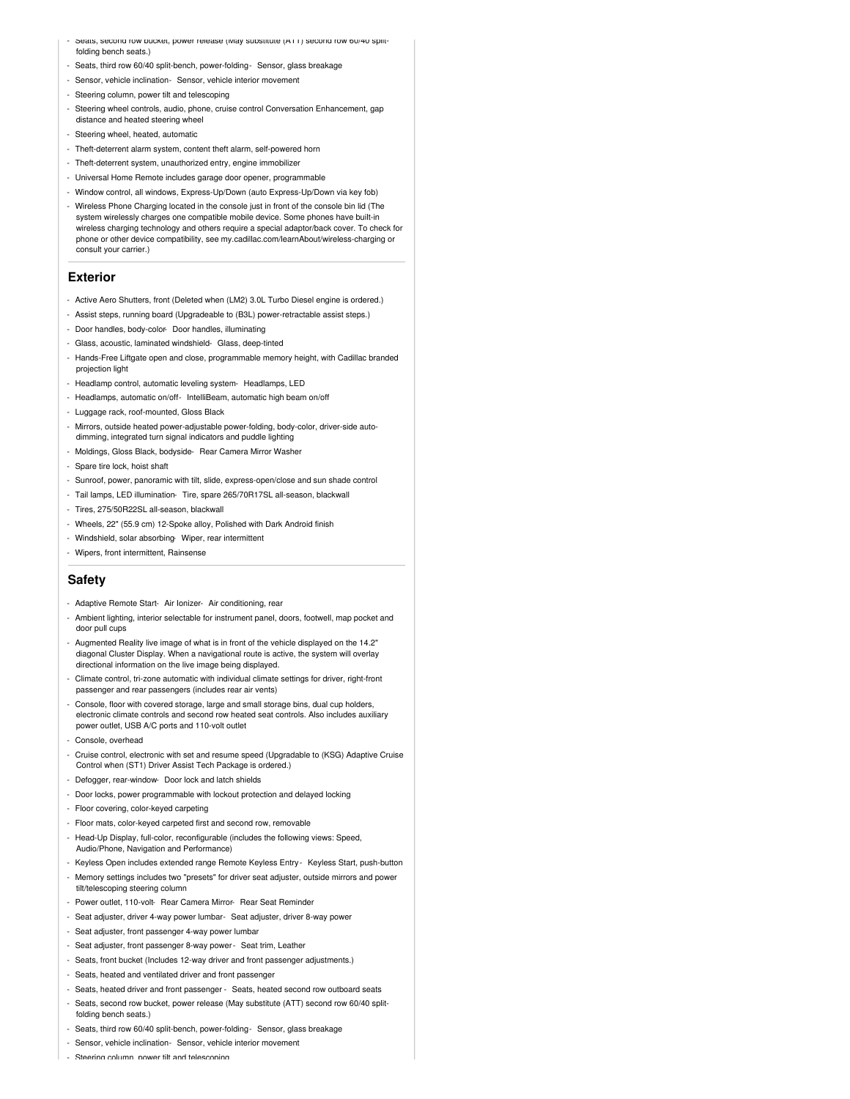- Seats, second row bucket, power release (May substitute (ATT) second row 60/40 splitfolding bench seats.)
- Seats, third row 60/40 split-bench, power-folding- Sensor, glass breakage
- Sensor, vehicle inclination- Sensor, vehicle interior movement
- Steering column, power tilt and telescoping
- Steering wheel controls, audio, phone, cruise control Conversation Enhancement, gap distance and heated steering wheel
- Steering wheel, heated, automatic
- Theft-deterrent alarm system, content theft alarm, self-powered horn
- Theft-deterrent system, unauthorized entry, engine immobilizer
- Universal Home Remote includes garage door opener, programmable - Window control, all windows, Express-Up/Down (auto Express-Up/Down via key fob)
- Wireless Phone Charging located in the console just in front of the console bin lid (The system wirelessly charges one compatible mobile device. Some phones have built-in wireless charging technology and others require a special adaptor/back cover. To check for phone or other device compatibility, see my.cadillac.com/learnAbout/wireless-charging or consult your carrier.)

#### **Exterior**

- Active Aero Shutters, front (Deleted when (LM2) 3.0L Turbo Diesel engine is ordered.)
- Assist steps, running board (Upgradeable to (B3L) power-retractable assist steps.)
- Door handles, body-color- Door handles, illuminating
- Glass, acoustic, laminated windshield- Glass, deep-tinted
- Hands-Free Liftgate open and close, programmable memory height, with Cadillac branded projection light
- Headlamp control, automatic leveling system- Headlamps, LED
- Headlamps, automatic on/off- IntelliBeam, automatic high beam on/off
- Luggage rack, roof-mounted, Gloss Black
- Mirrors, outside heated power-adjustable power-folding, body-color, driver-side auto-
- dimming, integrated turn signal indicators and puddle lighting
- Moldings, Gloss Black, bodyside- Rear Camera Mirror Washer
- Spare tire lock, hoist shaft
- Sunroof, power, panoramic with tilt, slide, express-open/close and sun shade control
- Tail lamps, LED illumination- Tire, spare 265/70R17SL all-season, blackwall
- Tires, 275/50R22SL all-season, blackwall
- Wheels, 22" (55.9 cm) 12-Spoke alloy, Polished with Dark Android finish
- Windshield, solar absorbing- Wiper, rear intermittent
- Wipers, front intermittent, Rainsense

#### **Safety**

- Adaptive Remote Start- Air Ionizer- Air conditioning, rear
- Ambient lighting, interior selectable for instrument panel, doors, footwell, map pocket and door pull cups
- Augmented Reality live image of what is in front of the vehicle displayed on the 14.2" diagonal Cluster Display. When a navigational route is active, the system will overlay directional information on the live image being displayed.
- Climate control, tri-zone automatic with individual climate settings for driver, right-front passenger and rear passengers (includes rear air vents)
- Console, floor with covered storage, large and small storage bins, dual cup holders, electronic climate controls and second row heated seat controls. Also includes auxiliary power outlet, USB A/C ports and 110-volt outlet
- Console, overhead
- Cruise control, electronic with set and resume speed (Upgradable to (KSG) Adaptive Cruise Control when (ST1) Driver Assist Tech Package is ordered.)
- Defogger, rear-window- Door lock and latch shields
- Door locks, power programmable with lockout protection and delayed locking
- Floor covering, color-keyed carpeting
- Floor mats, color-keyed carpeted first and second row, removable
- Head-Up Display, full-color, reconfigurable (includes the following views: Speed, Audio/Phone, Navigation and Performance)
- Keyless Open includes extended range Remote Keyless Entry Keyless Start, push-button
- Memory settings includes two "presets" for driver seat adjuster, outside mirrors and power tilt/telescoping steering column
- Power outlet, 110-volt- Rear Camera Mirror- Rear Seat Reminder
- Seat adjuster, driver 4-way power lumbar- Seat adjuster, driver 8-way power
- Seat adjuster, front passenger 4-way power lumbar
- Seat adjuster, front passenger 8-way power- Seat trim, Leather
- Seats, front bucket (Includes 12-way driver and front passenger adjustments.)
- Seats, heated and ventilated driver and front passenger
- Seats, heated driver and front passenger Seats, heated second row outboard seats
- Seats, second row bucket, power release (May substitute (ATT) second row 60/40 split-
- folding bench seats.)
- Seats, third row 60/40 split-bench, power-folding- Sensor, glass breakage
- Sensor, vehicle inclination- Sensor, vehicle interior movement
- Steering column, power tilt and telescoping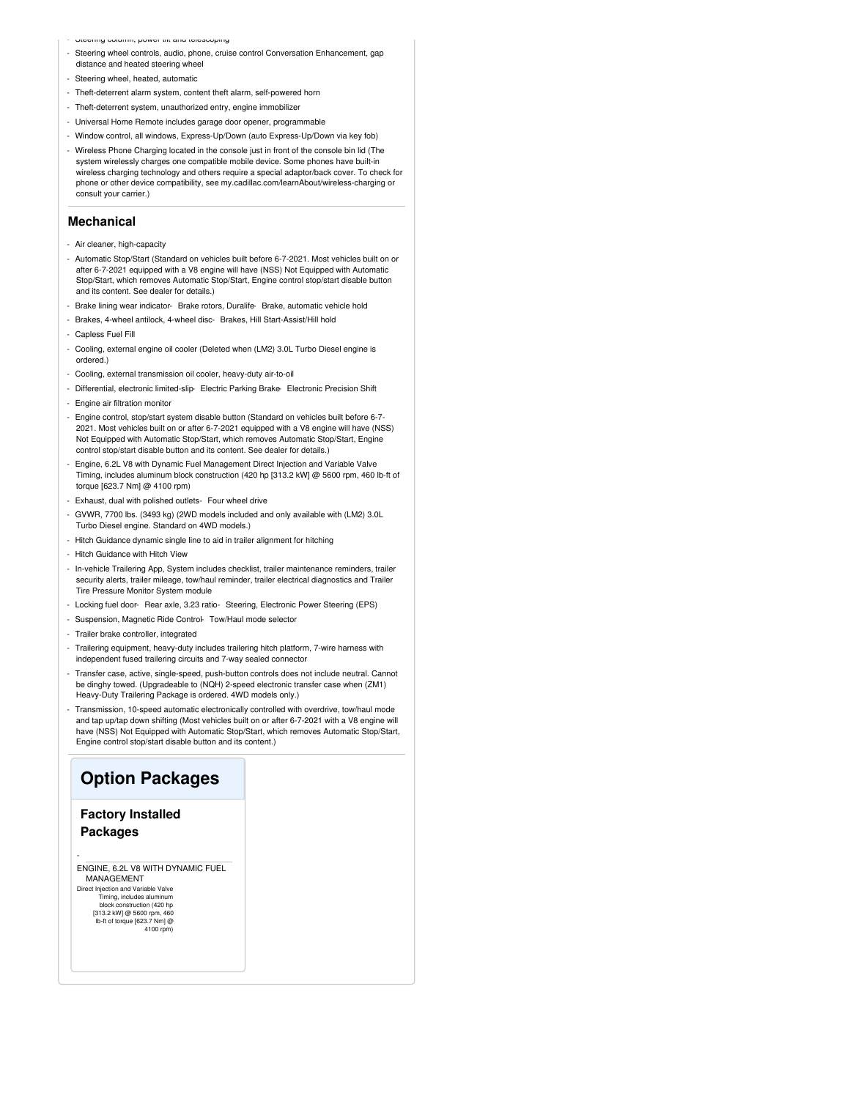in, power uit and te

- Steering wheel controls, audio, phone, cruise control Conversation Enhancement, gap distance and heated steering wheel
- Steering wheel, heated, automatic
- Theft-deterrent alarm system, content theft alarm, self-powered horn
- Theft-deterrent system, unauthorized entry, engine immobilizer
- Universal Home Remote includes garage door opener, programmable
- Window control, all windows, Express-Up/Down (auto Express-Up/Down via key fob)
- Wireless Phone Charging located in the console just in front of the console bin lid (The system wirelessly charges one compatible mobile device. Some phones have built-in wireless charging technology and others require a special adaptor/back cover. To check for phone or other device compatibility, see my.cadillac.com/learnAbout/wireless-charging or consult your carrier.)

#### **Mechanical**

- Air cleaner, high-capacity
- Automatic Stop/Start (Standard on vehicles built before 6-7-2021. Most vehicles built on or after 6-7-2021 equipped with a V8 engine will have (NSS) Not Equipped with Automatic Stop/Start, which removes Automatic Stop/Start, Engine control stop/start disable button and its content. See dealer for details.)
- Brake lining wear indicator- Brake rotors, Duralife- Brake, automatic vehicle hold
- Brakes, 4-wheel antilock, 4-wheel disc- Brakes, Hill Start-Assist/Hill hold
- Capless Fuel Fill
- Cooling, external engine oil cooler (Deleted when (LM2) 3.0L Turbo Diesel engine is ordered.)
- Cooling, external transmission oil cooler, heavy-duty air-to-oil
- Differential, electronic limited-slip- Electric Parking Brake- Electronic Precision Shift
- Engine air filtration monitor
- Engine control, stop/start system disable button (Standard on vehicles built before 6-7- 2021. Most vehicles built on or after 6-7-2021 equipped with a V8 engine will have (NSS) Not Equipped with Automatic Stop/Start, which removes Automatic Stop/Start, Engine control stop/start disable button and its content. See dealer for details.)
- Engine, 6.2L V8 with Dynamic Fuel Management Direct Injection and Variable Valve Timing, includes aluminum block construction (420 hp [313.2 kW] @ 5600 rpm, 460 lb-ft of torque [623.7 Nm] @ 4100 rpm)
- Exhaust, dual with polished outlets- Four wheel drive
- GVWR, 7700 lbs. (3493 kg) (2WD models included and only available with (LM2) 3.0L Turbo Diesel engine. Standard on 4WD models.)
- Hitch Guidance dynamic single line to aid in trailer alignment for hitching
- Hitch Guidance with Hitch View
- In-vehicle Trailering App, System includes checklist, trailer maintenance reminders, trailer security alerts, trailer mileage, tow/haul reminder, trailer electrical diagnostics and Trailer Tire Pressure Monitor System module
- Locking fuel door- Rear axle, 3.23 ratio- Steering, Electronic Power Steering (EPS)
- Suspension, Magnetic Ride Control- Tow/Haul mode selector
- Trailer brake controller, integrated
- Trailering equipment, heavy-duty includes trailering hitch platform, 7-wire harness with independent fused trailering circuits and 7-way sealed connecto
- Transfer case, active, single-speed, push-button controls does not include neutral. Cannot be dinghy towed. (Upgradeable to (NQH) 2-speed electronic transfer case when (ZM1) Heavy-Duty Trailering Package is ordered. 4WD models only.)
- Transmission, 10-speed automatic electronically controlled with overdrive, tow/haul mode and tap up/tap down shifting (Most vehicles built on or after 6-7-2021 with a V8 engine will have (NSS) Not Equipped with Automatic Stop/Start, which removes Automatic Stop/Start, Engine control stop/start disable button and its content.)

#### **Option Packages**

#### **Factory Installed Packages**

-

ENGINE, 6.2L V8 WITH DYNAMIC FUEL MANAGEMENT

Direct Injection and Variable Valve Timing, includes aluminum block construction (420 hp [313.2 kW] @ 5600 rpm, 460 lb-ft of torque [623.7 Nm] @  $4100 \, \text{m}$